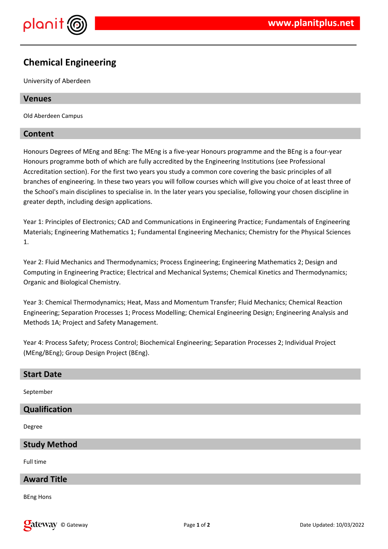

# **Chemical Engineering**

University of Aberdeen

# **Venues**

Old Aberdeen Campus

# **Content**

Honours Degrees of MEng and BEng: The MEng is a five-year Honours programme and the BEng is a four-year Honours programme both of which are fully accredited by the Engineering Institutions (see Professional Accreditation section). For the first two years you study a common core covering the basic principles of all branches of engineering. In these two years you will follow courses which will give you choice of at least three of the School's main disciplines to specialise in. In the later years you specialise, following your chosen discipline in greater depth, including design applications.

Year 1: Principles of Electronics; CAD and Communications in Engineering Practice; Fundamentals of Engineering Materials; Engineering Mathematics 1; Fundamental Engineering Mechanics; Chemistry for the Physical Sciences 1.

Year 2: Fluid Mechanics and Thermodynamics; Process Engineering; Engineering Mathematics 2; Design and Computing in Engineering Practice; Electrical and Mechanical Systems; Chemical Kinetics and Thermodynamics; Organic and Biological Chemistry.

Year 3: Chemical Thermodynamics; Heat, Mass and Momentum Transfer; Fluid Mechanics; Chemical Reaction Engineering; Separation Processes 1; Process Modelling; Chemical Engineering Design; Engineering Analysis and Methods 1A; Project and Safety Management.

Year 4: Process Safety; Process Control; Biochemical Engineering; Separation Processes 2; Individual Project (MEng/BEng); Group Design Project (BEng).

| <b>Start Date</b>   |
|---------------------|
| September           |
| Qualification       |
| Degree              |
| <b>Study Method</b> |
| Full time           |
| <b>Award Title</b>  |
| ___                 |

BEng Hons